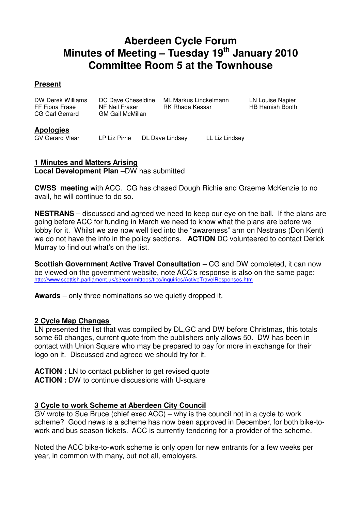## **Aberdeen Cycle Forum Minutes of Meeting – Tuesday 19th January 2010 Committee Room 5 at the Townhouse**

#### **Present**

| DW Derek Williams<br>FF Fiona Frase<br>CG Carl Gerrard | DC Dave Cheseldine<br>NF Neil Fraser<br><b>GM Gail McMillan</b> | ML Markus Linckelmann<br>RK Rhada Kessar | LN Louise Napier<br>HB Hamish Booth |
|--------------------------------------------------------|-----------------------------------------------------------------|------------------------------------------|-------------------------------------|
|                                                        |                                                                 |                                          |                                     |

# **Apologies**

LP Liz Pirrie DL Dave Lindsey LL Liz Lindsey

#### **1 Minutes and Matters Arising Local Development Plan** –DW has submitted

**CWSS meeting** with ACC. CG has chased Dough Richie and Graeme McKenzie to no avail, he will continue to do so.

**NESTRANS** – discussed and agreed we need to keep our eye on the ball. If the plans are going before ACC for funding in March we need to know what the plans are before we lobby for it. Whilst we are now well tied into the "awareness" arm on Nestrans (Don Kent) we do not have the info in the policy sections. **ACTION** DC volunteered to contact Derick Murray to find out what's on the list.

**Scottish Government Active Travel Consultation** – CG and DW completed, it can now be viewed on the government website, note ACC's response is also on the same page: http://www.scottish.parliament.uk/s3/committees/ticc/inquiries/ActiveTravelResponses.htm

**Awards** – only three nominations so we quietly dropped it.

#### **2 Cycle Map Changes**

LN presented the list that was compiled by DL,GC and DW before Christmas, this totals some 60 changes, current quote from the publishers only allows 50. DW has been in contact with Union Square who may be prepared to pay for more in exchange for their logo on it. Discussed and agreed we should try for it.

**ACTION :** LN to contact publisher to get revised quote **ACTION :** DW to continue discussions with U-square

#### **3 Cycle to work Scheme at Aberdeen City Council**

GV wrote to Sue Bruce (chief exec ACC) – why is the council not in a cycle to work scheme? Good news is a scheme has now been approved in December, for both bike-towork and bus season tickets. ACC is currently tendering for a provider of the scheme.

Noted the ACC bike-to-work scheme is only open for new entrants for a few weeks per year, in common with many, but not all, employers.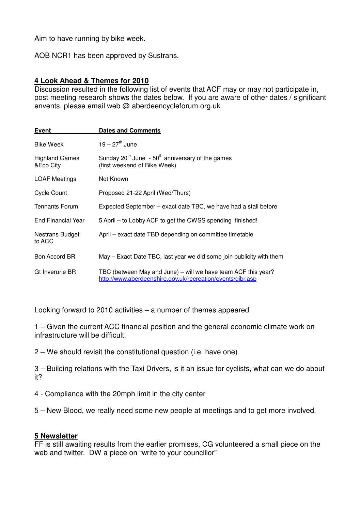Aim to have running by bike week.

AOB NCR1 has been approved by Sustrans.

#### **4 Look Ahead & Themes for 2010**

Discussion resulted in the following list of events that ACF may or may not participate in, post meeting research shows the dates below. If you are aware of other dates / significant envents, please email web @ aberdeencycleforum.org.uk

| <b>Event</b>                       | <b>Dates and Comments</b>                                                                                                   |  |  |
|------------------------------------|-----------------------------------------------------------------------------------------------------------------------------|--|--|
| <b>Bike Week</b>                   | $19 - 27$ <sup>th</sup> June                                                                                                |  |  |
| <b>Highland Games</b><br>&Eco City | Sunday 20 <sup>th</sup> June - $50th$ anniversary of the games<br>(first weekend of Bike Week)                              |  |  |
| <b>LOAF Meetings</b>               | Not Known                                                                                                                   |  |  |
| <b>Cycle Count</b>                 | Proposed 21-22 April (Wed/Thurs)                                                                                            |  |  |
| <b>Tennants Forum</b>              | Expected September – exact date TBC, we have had a stall before                                                             |  |  |
| <b>End Financial Year</b>          | 5 April – to Lobby ACF to get the CWSS spending finished!                                                                   |  |  |
| Nestrans Budget<br>to ACC          | April – exact date TBD depending on committee timetable                                                                     |  |  |
| Bon Accord BR                      | May – Exact Date TBC, last year we did some join publicity with them                                                        |  |  |
| Gt Inverurie BR                    | TBC (between May and June) – will we have team ACF this year?<br>http://www.aberdeenshire.gov.uk/recreation/events/gibr.asp |  |  |

Looking forward to 2010 activities – a number of themes appeared

1 – Given the current ACC financial position and the general economic climate work on infrastructure will be difficult.

2 – We should revisit the constitutional question (i.e. have one)

3 – Building relations with the Taxi Drivers, is it an issue for cyclists, what can we do about it?

- 4 Compliance with the 20mph limit in the city center
- 5 New Blood, we really need some new people at meetings and to get more involved.

#### **5 Newsletter**

FF is still awaiting results from the earlier promises, CG volunteered a small piece on the web and twitter. DW a piece on "write to your councillor"